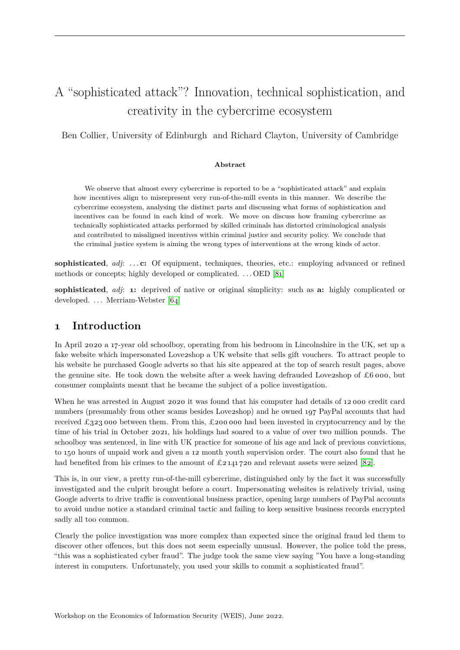# A "sophisticated attack"? Innovation, technical sophistication, and creativity in the cybercrime ecosystem

Ben Collier, University of Edinburgh and Richard Clayton, University of Cambridge

#### **Abstract**

We observe that almost every cybercrime is reported to be a "sophisticated attack" and explain how incentives align to misrepresent very run-of-the-mill events in this manner. We describe the cybercrime ecosystem, analysing the distinct parts and discussing what forms of sophistication and incentives can be found in each kind of work. We move on discuss how framing cybercrime as technically sophisticated attacks performed by skilled criminals has distorted criminological analysis and contributed to misaligned incentives within criminal justice and security policy. We conclude that the criminal justice system is aiming the wrong types of interventions at the wrong kinds of actor.

**sophisticated**, *adj*: ... **c:** Of equipment, techniques, theories, etc.: employing advanced or refined methods or concepts; highly developed or complicated. . . . OED [\[81\]](#page-20-0)

**sophisticated**, *adj*: **1:** deprived of native or original simplicity: such as **a:** highly complicated or developed. ... Merriam-Webster [\[64\]](#page-19-0)

#### **1 Introduction**

In April 2020 a 17-year old schoolboy, operating from his bedroom in Lincolnshire in the UK, set up a fake website which impersonated Love2shop a UK website that sells gift vouchers. To attract people to his website he purchased Google adverts so that his site appeared at the top of search result pages, above the genuine site. He took down the website after a week having defrauded Love2shop of  $\pounds 6$  000, but consumer complaints meant that he became the subject of a police investigation.

When he was arrested in August 2020 it was found that his computer had details of 12 000 credit card numbers (presumably from other scams besides Love2shop) and he owned 197 PayPal accounts that had received £323 000 between them. From this, £200 000 had been invested in cryptocurrency and by the time of his trial in October 2021, his holdings had soared to a value of over two million pounds. The schoolboy was sentenced, in line with UK practice for someone of his age and lack of previous convictions, to 150 hours of unpaid work and given a 12 month youth supervision order. The court also found that he had benefited from his crimes to the amount of  $\pounds 2141720$  and relevant assets were seized [\[82\]](#page-20-1).

This is, in our view, a pretty run-of-the-mill cybercrime, distinguished only by the fact it was successfully investigated and the culprit brought before a court. Impersonating websites is relatively trivial, using Google adverts to drive traffic is conventional business practice, opening large numbers of PayPal accounts to avoid undue notice a standard criminal tactic and failing to keep sensitive business records encrypted sadly all too common.

Clearly the police investigation was more complex than expected since the original fraud led them to discover other offences, but this does not seem especially unusual. However, the police told the press, "this was a sophisticated cyber fraud". The judge took the same view saying "You have a long-standing interest in computers. Unfortunately, you used your skills to commit a sophisticated fraud".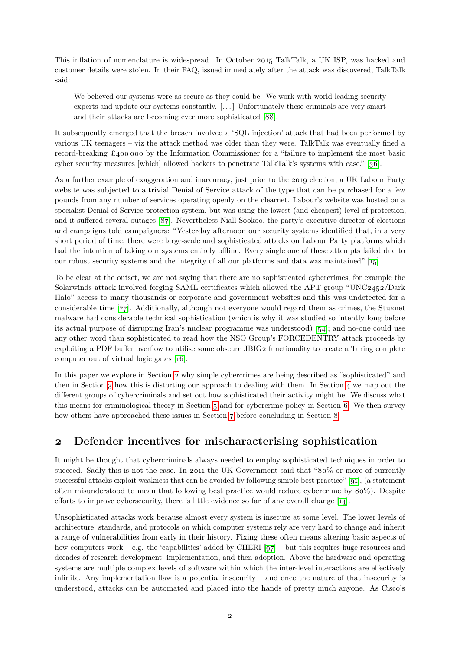This inflation of nomenclature is widespread. In October 2015 TalkTalk, a UK ISP, was hacked and customer details were stolen. In their FAQ, issued immediately after the attack was discovered, TalkTalk said:

We believed our systems were as secure as they could be. We work with world leading security experts and update our systems constantly. [. . . ] Unfortunately these criminals are very smart and their attacks are becoming ever more sophisticated [\[88\]](#page-20-2).

It subsequently emerged that the breach involved a 'SQL injection' attack that had been performed by various UK teenagers – viz the attack method was older than they were. TalkTalk was eventually fined a record-breaking £400 000 by the Information Commissioner for a "failure to implement the most basic cyber security measures [which] allowed hackers to penetrate TalkTalk's systems with ease." [\[36\]](#page-17-0).

As a further example of exaggeration and inaccuracy, just prior to the 2019 election, a UK Labour Party website was subjected to a trivial Denial of Service attack of the type that can be purchased for a few pounds from any number of services operating openly on the clearnet. Labour's website was hosted on a specialist Denial of Service protection system, but was using the lowest (and cheapest) level of protection, and it suffered several outages [\[87\]](#page-20-3). Nevertheless Niall Sookoo, the party's executive director of elections and campaigns told campaigners: "Yesterday afternoon our security systems identified that, in a very short period of time, there were large-scale and sophisticated attacks on Labour Party platforms which had the intention of taking our systems entirely offline. Every single one of these attempts failed due to our robust security systems and the integrity of all our platforms and data was maintained" [\[15\]](#page-16-0).

To be clear at the outset, we are not saying that there are no sophisticated cybercrimes, for example the Solarwinds attack involved forging SAML certificates which allowed the APT group "UNC2452/Dark Halo" access to many thousands or corporate and government websites and this was undetected for a considerable time [\[77\]](#page-19-1). Additionally, although not everyone would regard them as crimes, the Stuxnet malware had considerable technical sophistication (which is why it was studied so intently long before its actual purpose of disrupting Iran's nuclear programme was understood) [\[54\]](#page-18-0); and no-one could use any other word than sophisticated to read how the NSO Group's FORCEDENTRY attack proceeds by exploiting a PDF buffer overflow to utilise some obscure JBIG2 functionality to create a Turing complete computer out of virtual logic gates [\[16\]](#page-16-1).

In this paper we explore in Section [2](#page-1-0) why simple cybercrimes are being described as "sophisticated" and then in Section [3](#page-3-0) how this is distorting our approach to dealing with them. In Section [4](#page-5-0) we map out the different groups of cybercriminals and set out how sophisticated their activity might be. We discuss what this means for criminological theory in Section [5](#page-11-0) and for cybercrime policy in Section [6.](#page-12-0) We then survey how others have approached these issues in Section [7](#page-13-0) before concluding in Section [8.](#page-15-0)

### <span id="page-1-0"></span>**2 Defender incentives for mischaracterising sophistication**

It might be thought that cybercriminals always needed to employ sophisticated techniques in order to succeed. Sadly this is not the case. In 2011 the UK Government said that "80% or more of currently successful attacks exploit weakness that can be avoided by following simple best practice" [\[91\]](#page-20-4), (a statement often misunderstood to mean that following best practice would reduce cybercrime by 80%). Despite efforts to improve cybersecurity, there is little evidence so far of any overall change [\[14\]](#page-16-2).

Unsophisticated attacks work because almost every system is insecure at some level. The lower levels of architecture, standards, and protocols on which computer systems rely are very hard to change and inherit a range of vulnerabilities from early in their history. Fixing these often means altering basic aspects of how computers work – e.g. the 'capabilities' added by CHERI  $[q7]$  – but this requires huge resources and decades of research development, implementation, and then adoption. Above the hardware and operating systems are multiple complex levels of software within which the inter-level interactions are effectively infinite. Any implementation flaw is a potential insecurity – and once the nature of that insecurity is understood, attacks can be automated and placed into the hands of pretty much anyone. As Cisco's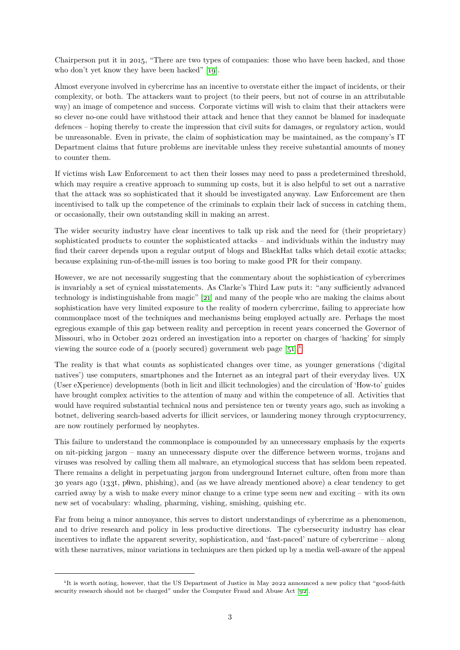Chairperson put it in 2015, "There are two types of companies: those who have been hacked, and those who don't yet know they have been hacked" [\[19\]](#page-16-3).

Almost everyone involved in cybercrime has an incentive to overstate either the impact of incidents, or their complexity, or both. The attackers want to project (to their peers, but not of course in an attributable way) an image of competence and success. Corporate victims will wish to claim that their attackers were so clever no-one could have withstood their attack and hence that they cannot be blamed for inadequate defences – hoping thereby to create the impression that civil suits for damages, or regulatory action, would be unreasonable. Even in private, the claim of sophistication may be maintained, as the company's IT Department claims that future problems are inevitable unless they receive substantial amounts of money to counter them.

If victims wish Law Enforcement to act then their losses may need to pass a predetermined threshold, which may require a creative approach to summing up costs, but it is also helpful to set out a narrative that the attack was so sophisticated that it should be investigated anyway. Law Enforcement are then incentivised to talk up the competence of the criminals to explain their lack of success in catching them, or occasionally, their own outstanding skill in making an arrest.

The wider security industry have clear incentives to talk up risk and the need for (their proprietary) sophisticated products to counter the sophisticated attacks – and individuals within the industry may find their career depends upon a regular output of blogs and BlackHat talks which detail exotic attacks; because explaining run-of-the-mill issues is too boring to make good PR for their company.

However, we are not necessarily suggesting that the commentary about the sophistication of cybercrimes is invariably a set of cynical misstatements. As Clarke's Third Law puts it: "any sufficiently advanced technology is indistinguishable from magic" [\[21\]](#page-16-4) and many of the people who are making the claims about sophistication have very limited exposure to the reality of modern cybercrime, failing to appreciate how commonplace most of the techniques and mechanisms being employed actually are. Perhaps the most egregious example of this gap between reality and perception in recent years concerned the Governor of Missouri, who in October 2021 ordered an investigation into a reporter on charges of 'hacking' for simply viewing the source code of a (poorly secured) government web page  $[51]$ <sup>[1](#page-2-0)</sup>

The reality is that what counts as sophisticated changes over time, as younger generations ('digital natives') use computers, smartphones and the Internet as an integral part of their everyday lives. UX (User eXperience) developments (both in licit and illicit technologies) and the circulation of 'How-to' guides have brought complex activities to the attention of many and within the competence of all. Activities that would have required substantial technical nous and persistence ten or twenty years ago, such as invoking a botnet, delivering search-based adverts for illicit services, or laundering money through cryptocurrency, are now routinely performed by neophytes.

This failure to understand the commonplace is compounded by an unnecessary emphasis by the experts on nit-picking jargon – many an unnecessary dispute over the difference between worms, trojans and viruses was resolved by calling them all malware, an etymological success that has seldom been repeated. There remains a delight in perpetuating jargon from underground Internet culture, often from more than 30 years ago (133t, p0wn, phishing), and (as we have already mentioned above) a clear tendency to get carried away by a wish to make every minor change to a crime type seem new and exciting – with its own new set of vocabulary: whaling, pharming, vishing, smishing, quishing etc.

Far from being a minor annoyance, this serves to distort understandings of cybercrime as a phenomenon, and to drive research and policy in less productive directions. The cybersecurity industry has clear incentives to inflate the apparent severity, sophistication, and 'fast-paced' nature of cybercrime – along with these narratives, minor variations in techniques are then picked up by a media well-aware of the appeal

<span id="page-2-0"></span><sup>&</sup>lt;sup>1</sup>It is worth noting, however, that the US Department of Justice in May 2022 announced a new policy that "good-faith security research should not be charged" under the Computer Fraud and Abuse Act [\[92\]](#page-20-5).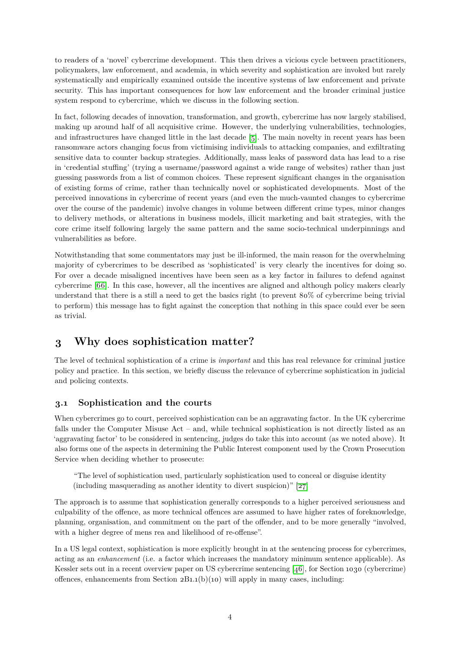to readers of a 'novel' cybercrime development. This then drives a vicious cycle between practitioners, policymakers, law enforcement, and academia, in which severity and sophistication are invoked but rarely systematically and empirically examined outside the incentive systems of law enforcement and private security. This has important consequences for how law enforcement and the broader criminal justice system respond to cybercrime, which we discuss in the following section.

In fact, following decades of innovation, transformation, and growth, cybercrime has now largely stabilised, making up around half of all acquisitive crime. However, the underlying vulnerabilities, technologies, and infrastructures have changed little in the last decade [\[5\]](#page-16-5). The main novelty in recent years has been ransomware actors changing focus from victimising individuals to attacking companies, and exfiltrating sensitive data to counter backup strategies. Additionally, mass leaks of password data has lead to a rise in 'credential stuffing' (trying a username/password against a wide range of websites) rather than just guessing passwords from a list of common choices. These represent significant changes in the organisation of existing forms of crime, rather than technically novel or sophisticated developments. Most of the perceived innovations in cybercrime of recent years (and even the much-vaunted changes to cybercrime over the course of the pandemic) involve changes in volume between different crime types, minor changes to delivery methods, or alterations in business models, illicit marketing and bait strategies, with the core crime itself following largely the same pattern and the same socio-technical underpinnings and vulnerabilities as before.

Notwithstanding that some commentators may just be ill-informed, the main reason for the overwhelming majority of cybercrimes to be described as 'sophisticated' is very clearly the incentives for doing so. For over a decade misaligned incentives have been seen as a key factor in failures to defend against cybercrime [\[66\]](#page-19-2). In this case, however, all the incentives are aligned and although policy makers clearly understand that there is a still a need to get the basics right (to prevent 80% of cybercrime being trivial to perform) this message has to fight against the conception that nothing in this space could ever be seen as trivial.

## <span id="page-3-0"></span>**3 Why does sophistication matter?**

The level of technical sophistication of a crime is *important* and this has real relevance for criminal justice policy and practice. In this section, we briefly discuss the relevance of cybercrime sophistication in judicial and policing contexts.

#### **3.1 Sophistication and the courts**

When cybercrimes go to court, perceived sophistication can be an aggravating factor. In the UK cybercrime falls under the Computer Misuse Act – and, while technical sophistication is not directly listed as an 'aggravating factor' to be considered in sentencing, judges do take this into account (as we noted above). It also forms one of the aspects in determining the Public Interest component used by the Crown Prosecution Service when deciding whether to prosecute:

"The level of sophistication used, particularly sophistication used to conceal or disguise identity (including masquerading as another identity to divert suspicion)" [\[27\]](#page-17-1)

The approach is to assume that sophistication generally corresponds to a higher perceived seriousness and culpability of the offence, as more technical offences are assumed to have higher rates of foreknowledge, planning, organisation, and commitment on the part of the offender, and to be more generally "involved, with a higher degree of mens rea and likelihood of re-offense".

In a US legal context, sophistication is more explicitly brought in at the sentencing process for cybercrimes, acting as an *enhancement* (i.e. a factor which increases the mandatory minimum sentence applicable). As Kessler sets out in a recent overview paper on US cybercrime sentencing [\[46\]](#page-18-2), for Section 1030 (cybercrime) offences, enhancements from Section  $2B1.1(b)(10)$  will apply in many cases, including: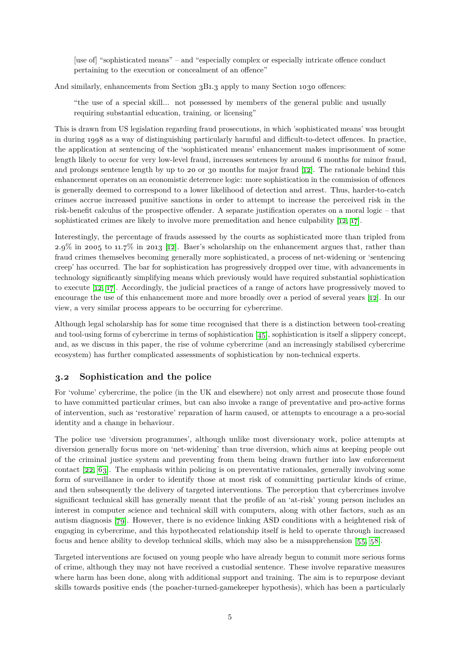[use of] "sophisticated means" – and "especially complex or especially intricate offence conduct pertaining to the execution or concealment of an offence"

And similarly, enhancements from Section 3B1.3 apply to many Section 1030 offences:

"the use of a special skill... not possessed by members of the general public and usually requiring substantial education, training, or licensing"

This is drawn from US legislation regarding fraud prosecutions, in which 'sophisticated means' was brought in during 1998 as a way of distinguishing particularly harmful and difficult-to-detect offences. In practice, the application at sentencing of the 'sophisticated means' enhancement makes imprisonment of some length likely to occur for very low-level fraud, increases sentences by around 6 months for minor fraud, and prolongs sentence length by up to 20 or 30 months for major fraud [\[12\]](#page-16-6). The rationale behind this enhancement operates on an economistic deterrence logic: more sophistication in the commission of offences is generally deemed to correspond to a lower likelihood of detection and arrest. Thus, harder-to-catch crimes accrue increased punitive sanctions in order to attempt to increase the perceived risk in the risk-benefit calculus of the prospective offender. A separate justification operates on a moral logic – that sophisticated crimes are likely to involve more premeditation and hence culpability [\[12,](#page-16-6) [17\]](#page-16-7).

Interestingly, the percentage of frauds assessed by the courts as sophisticated more than tripled from 2.9% in 2005 to 11.7% in 2013 [\[12\]](#page-16-6). Baer's scholarship on the enhancement argues that, rather than fraud crimes themselves becoming generally more sophisticated, a process of net-widening or 'sentencing creep' has occurred. The bar for sophistication has progressively dropped over time, with advancements in technology significantly simplifying means which previously would have required substantial sophistication to execute [\[12,](#page-16-6) [17\]](#page-16-7). Accordingly, the judicial practices of a range of actors have progressively moved to encourage the use of this enhancement more and more broadly over a period of several years [\[12\]](#page-16-6). In our view, a very similar process appears to be occurring for cybercrime.

Although legal scholarship has for some time recognised that there is a distinction between tool-creating and tool-using forms of cybercrime in terms of sophistication  $[45]$ , sophistication is itself a slippery concept, and, as we discuss in this paper, the rise of volume cybercrime (and an increasingly stabilised cybercrime ecosystem) has further complicated assessments of sophistication by non-technical experts.

#### **3.2 Sophistication and the police**

For 'volume' cybercrime, the police (in the UK and elsewhere) not only arrest and prosecute those found to have committed particular crimes, but can also invoke a range of preventative and pro-active forms of intervention, such as 'restorative' reparation of harm caused, or attempts to encourage a a pro-social identity and a change in behaviour.

The police use 'diversion programmes', although unlike most diversionary work, police attempts at diversion generally focus more on 'net-widening' than true diversion, which aims at keeping people out of the criminal justice system and preventing from them being drawn further into law enforcement contact [\[22,](#page-16-8) [63\]](#page-19-3). The emphasis within policing is on preventative rationales, generally involving some form of surveillance in order to identify those at most risk of committing particular kinds of crime, and then subsequently the delivery of targeted interventions. The perception that cybercrimes involve significant technical skill has generally meant that the profile of an 'at-risk' young person includes an interest in computer science and technical skill with computers, along with other factors, such as an autism diagnosis [\[79\]](#page-20-6). However, there is no evidence linking ASD conditions with a heightened risk of engaging in cybercrime, and this hypothecated relationship itself is held to operate through increased focus and hence ability to develop technical skills, which may also be a misapprehension [\[55,](#page-18-4) [58\]](#page-18-5).

Targeted interventions are focused on young people who have already begun to commit more serious forms of crime, although they may not have received a custodial sentence. These involve reparative measures where harm has been done, along with additional support and training. The aim is to repurpose deviant skills towards positive ends (the poacher-turned-gamekeeper hypothesis), which has been a particularly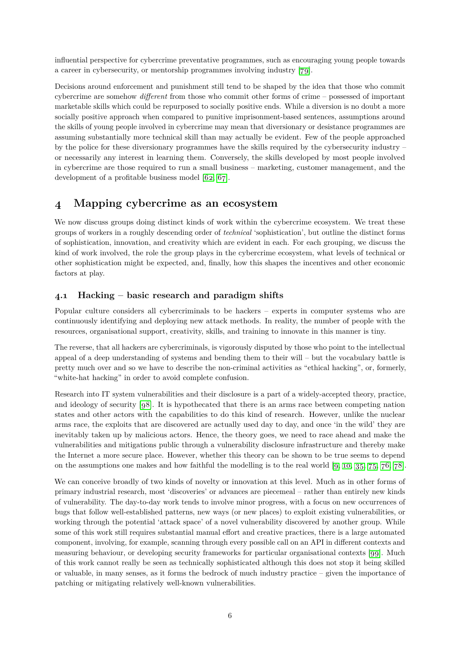influential perspective for cybercrime preventative programmes, such as encouraging young people towards a career in cybersecurity, or mentorship programmes involving industry [\[79\]](#page-20-6).

Decisions around enforcement and punishment still tend to be shaped by the idea that those who commit cybercrime are somehow *different* from those who commit other forms of crime – possessed of important marketable skills which could be repurposed to socially positive ends. While a diversion is no doubt a more socially positive approach when compared to punitive imprisonment-based sentences, assumptions around the skills of young people involved in cybercrime may mean that diversionary or desistance programmes are assuming substantially more technical skill than may actually be evident. Few of the people approached by the police for these diversionary programmes have the skills required by the cybersecurity industry – or necessarily any interest in learning them. Conversely, the skills developed by most people involved in cybercrime are those required to run a small business – marketing, customer management, and the development of a profitable business model [\[62,](#page-19-4) [67\]](#page-19-5).

### <span id="page-5-0"></span>**4 Mapping cybercrime as an ecosystem**

We now discuss groups doing distinct kinds of work within the cybercrime ecosystem. We treat these groups of workers in a roughly descending order of *technical* 'sophistication', but outline the distinct forms of sophistication, innovation, and creativity which are evident in each. For each grouping, we discuss the kind of work involved, the role the group plays in the cybercrime ecosystem, what levels of technical or other sophistication might be expected, and, finally, how this shapes the incentives and other economic factors at play.

### **4.1 Hacking – basic research and paradigm shifts**

Popular culture considers all cybercriminals to be hackers – experts in computer systems who are continuously identifying and deploying new attack methods. In reality, the number of people with the resources, organisational support, creativity, skills, and training to innovate in this manner is tiny.

The reverse, that all hackers are cybercriminals, is vigorously disputed by those who point to the intellectual appeal of a deep understanding of systems and bending them to their will – but the vocabulary battle is pretty much over and so we have to describe the non-criminal activities as "ethical hacking", or, formerly, "white-hat hacking" in order to avoid complete confusion.

Research into IT system vulnerabilities and their disclosure is a part of a widely-accepted theory, practice, and ideology of security [\[98\]](#page-21-1). It is hypothecated that there is an arms race between competing nation states and other actors with the capabilities to do this kind of research. However, unlike the nuclear arms race, the exploits that are discovered are actually used day to day, and once 'in the wild' they are inevitably taken up by malicious actors. Hence, the theory goes, we need to race ahead and make the vulnerabilities and mitigations public through a vulnerability disclosure infrastructure and thereby make the Internet a more secure place. However, whether this theory can be shown to be true seems to depend on the assumptions one makes and how faithful the modelling is to the real world  $[9, 10, 35, 75, 76, 78]$  $[9, 10, 35, 75, 76, 78]$  $[9, 10, 35, 75, 76, 78]$  $[9, 10, 35, 75, 76, 78]$  $[9, 10, 35, 75, 76, 78]$  $[9, 10, 35, 75, 76, 78]$  $[9, 10, 35, 75, 76, 78]$  $[9, 10, 35, 75, 76, 78]$  $[9, 10, 35, 75, 76, 78]$  $[9, 10, 35, 75, 76, 78]$  $[9, 10, 35, 75, 76, 78]$ .

We can conceive broadly of two kinds of novelty or innovation at this level. Much as in other forms of primary industrial research, most 'discoveries' or advances are piecemeal – rather than entirely new kinds of vulnerability. The day-to-day work tends to involve minor progress, with a focus on new occurrences of bugs that follow well-established patterns, new ways (or new places) to exploit existing vulnerabilities, or working through the potential 'attack space' of a novel vulnerability discovered by another group. While some of this work still requires substantial manual effort and creative practices, there is a large automated component, involving, for example, scanning through every possible call on an API in different contexts and measuring behaviour, or developing security frameworks for particular organisational contexts [\[99\]](#page-21-2). Much of this work cannot really be seen as technically sophisticated although this does not stop it being skilled or valuable, in many senses, as it forms the bedrock of much industry practice – given the importance of patching or mitigating relatively well-known vulnerabilities.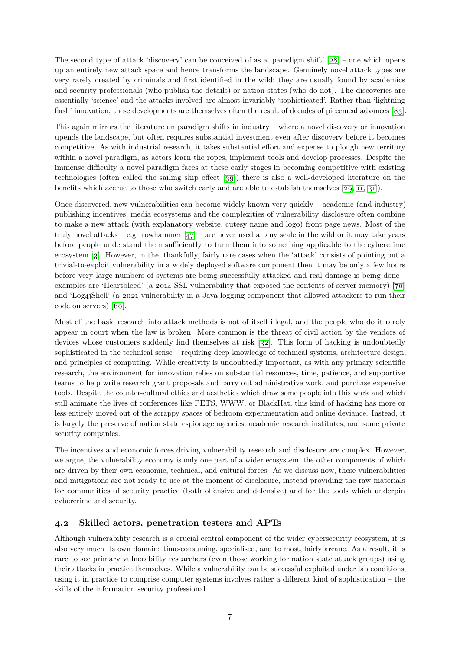The second type of attack 'discovery' can be conceived of as a 'paradigm shift'  $[28]$  – one which opens up an entirely new attack space and hence transforms the landscape. Genuinely novel attack types are very rarely created by criminals and first identified in the wild; they are usually found by academics and security professionals (who publish the details) or nation states (who do not). The discoveries are essentially 'science' and the attacks involved are almost invariably 'sophisticated'. Rather than 'lightning flash' innovation, these developments are themselves often the result of decades of piecemeal advances [\[83\]](#page-20-8).

This again mirrors the literature on paradigm shifts in industry – where a novel discovery or innovation upends the landscape, but often requires substantial investment even after discovery before it becomes competitive. As with industrial research, it takes substantial effort and expense to plough new territory within a novel paradigm, as actors learn the ropes, implement tools and develop processes. Despite the immense difficulty a novel paradigm faces at these early stages in becoming competitive with existing technologies (often called the sailing ship effect [\[39\]](#page-17-4)) there is also a well-developed literature on the benefits which accrue to those who switch early and are able to establish themselves [\[29,](#page-17-5) [11,](#page-16-11) [31\]](#page-17-6)).

Once discovered, new vulnerabilities can become widely known very quickly – academic (and industry) publishing incentives, media ecosystems and the complexities of vulnerability disclosure often combine to make a new attack (with explanatory website, cutesy name and logo) front page news. Most of the truly novel attacks – e.g. rowhammer  $\left[47\right]$  – are never used at any scale in the wild or it may take years before people understand them sufficiently to turn them into something applicable to the cybercrime ecosystem [\[3\]](#page-15-1). However, in the, thankfully, fairly rare cases when the 'attack' consists of pointing out a trivial-to-exploit vulnerability in a widely deployed software component then it may be only a few hours before very large numbers of systems are being successfully attacked and real damage is being done – examples are 'Heartbleed' (a 2014 SSL vulnerability that exposed the contents of server memory) [\[70\]](#page-19-8) and 'Log4jShell' (a 2021 vulnerability in a Java logging component that allowed attackers to run their code on servers) [\[60\]](#page-19-9).

Most of the basic research into attack methods is not of itself illegal, and the people who do it rarely appear in court when the law is broken. More common is the threat of civil action by the vendors of devices whose customers suddenly find themselves at risk [\[32\]](#page-17-7). This form of hacking is undoubtedly sophisticated in the technical sense – requiring deep knowledge of technical systems, architecture design, and principles of computing. While creativity is undoubtedly important, as with any primary scientific research, the environment for innovation relies on substantial resources, time, patience, and supportive teams to help write research grant proposals and carry out administrative work, and purchase expensive tools. Despite the counter-cultural ethics and aesthetics which draw some people into this work and which still animate the lives of conferences like PETS, WWW, or BlackHat, this kind of hacking has more or less entirely moved out of the scrappy spaces of bedroom experimentation and online deviance. Instead, it is largely the preserve of nation state espionage agencies, academic research institutes, and some private security companies.

The incentives and economic forces driving vulnerability research and disclosure are complex. However, we argue, the vulnerability economy is only one part of a wider ecosystem, the other components of which are driven by their own economic, technical, and cultural forces. As we discuss now, these vulnerabilities and mitigations are not ready-to-use at the moment of disclosure, instead providing the raw materials for communities of security practice (both offensive and defensive) and for the tools which underpin cybercrime and security.

#### **4.2 Skilled actors, penetration testers and APTs**

Although vulnerability research is a crucial central component of the wider cybersecurity ecosystem, it is also very much its own domain: time-consuming, specialised, and to most, fairly arcane. As a result, it is rare to see primary vulnerability researchers (even those working for nation state attack groups) using their attacks in practice themselves. While a vulnerability can be successful exploited under lab conditions, using it in practice to comprise computer systems involves rather a different kind of sophistication – the skills of the information security professional.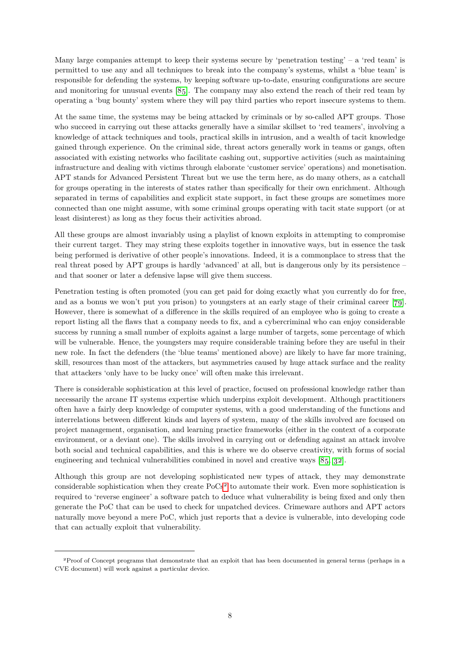Many large companies attempt to keep their systems secure by 'penetration testing' – a 'red team' is permitted to use any and all techniques to break into the company's systems, whilst a 'blue team' is responsible for defending the systems, by keeping software up-to-date, ensuring configurations are secure and monitoring for unusual events [\[85\]](#page-20-9). The company may also extend the reach of their red team by operating a 'bug bounty' system where they will pay third parties who report insecure systems to them.

At the same time, the systems may be being attacked by criminals or by so-called APT groups. Those who succeed in carrying out these attacks generally have a similar skillset to 'red teamers', involving a knowledge of attack techniques and tools, practical skills in intrusion, and a wealth of tacit knowledge gained through experience. On the criminal side, threat actors generally work in teams or gangs, often associated with existing networks who facilitate cashing out, supportive activities (such as maintaining infrastructure and dealing with victims through elaborate 'customer service' operations) and monetisation. APT stands for Advanced Persistent Threat but we use the term here, as do many others, as a catchall for groups operating in the interests of states rather than specifically for their own enrichment. Although separated in terms of capabilities and explicit state support, in fact these groups are sometimes more connected than one might assume, with some criminal groups operating with tacit state support (or at least disinterest) as long as they focus their activities abroad.

All these groups are almost invariably using a playlist of known exploits in attempting to compromise their current target. They may string these exploits together in innovative ways, but in essence the task being performed is derivative of other people's innovations. Indeed, it is a commonplace to stress that the real threat posed by APT groups is hardly 'advanced' at all, but is dangerous only by its persistence – and that sooner or later a defensive lapse will give them success.

Penetration testing is often promoted (you can get paid for doing exactly what you currently do for free, and as a bonus we won't put you prison) to youngsters at an early stage of their criminal career [\[79\]](#page-20-6). However, there is somewhat of a difference in the skills required of an employee who is going to create a report listing all the flaws that a company needs to fix, and a cybercriminal who can enjoy considerable success by running a small number of exploits against a large number of targets, some percentage of which will be vulnerable. Hence, the youngsters may require considerable training before they are useful in their new role. In fact the defenders (the 'blue teams' mentioned above) are likely to have far more training, skill, resources than most of the attackers, but asymmetries caused by huge attack surface and the reality that attackers 'only have to be lucky once' will often make this irrelevant.

There is considerable sophistication at this level of practice, focused on professional knowledge rather than necessarily the arcane IT systems expertise which underpins exploit development. Although practitioners often have a fairly deep knowledge of computer systems, with a good understanding of the functions and interrelations between different kinds and layers of system, many of the skills involved are focused on project management, organisation, and learning practice frameworks (either in the context of a corporate environment, or a deviant one). The skills involved in carrying out or defending against an attack involve both social and technical capabilities, and this is where we do observe creativity, with forms of social engineering and technical vulnerabilities combined in novel and creative ways [\[85,](#page-20-9) [32\]](#page-17-7).

Although this group are not developing sophisticated new types of attack, they may demonstrate considerable sophistication when they create PoCs<sup>[2](#page-7-0)</sup> to automate their work. Even more sophistication is required to 'reverse engineer' a software patch to deduce what vulnerability is being fixed and only then generate the PoC that can be used to check for unpatched devices. Crimeware authors and APT actors naturally move beyond a mere PoC, which just reports that a device is vulnerable, into developing code that can actually exploit that vulnerability.

<span id="page-7-0"></span><sup>2</sup>Proof of Concept programs that demonstrate that an exploit that has been documented in general terms (perhaps in a CVE document) will work against a particular device.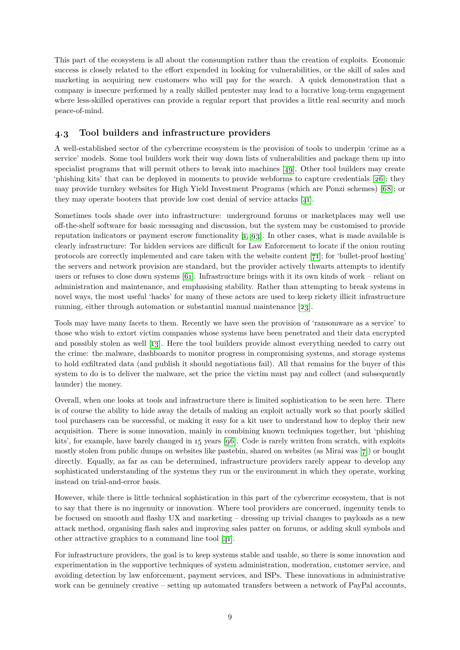This part of the ecosystem is all about the consumption rather than the creation of exploits. Economic success is closely related to the effort expended in looking for vulnerabilities, or the skill of sales and marketing in acquiring new customers who will pay for the search. A quick demonstration that a company is insecure performed by a really skilled pentester may lead to a lucrative long-term engagement where less-skilled operatives can provide a regular report that provides a little real security and much peace-of-mind.

### <span id="page-8-0"></span>**4.3 Tool builders and infrastructure providers**

A well-established sector of the cybercrime ecosystem is the provision of tools to underpin 'crime as a service' models. Some tool builders work their way down lists of vulnerabilities and package them up into specialist programs that will permit others to break into machines [\[49\]](#page-18-7). Other tool builders may create 'phishing kits' that can be deployed in moments to provide webforms to capture credentials [\[26\]](#page-17-8); they may provide turnkey websites for High Yield Investment Programs (which are Ponzi schemes) [\[68\]](#page-19-10); or they may operate booters that provide low cost denial of service attacks [\[41\]](#page-18-8).

Sometimes tools shade over into infrastructure: underground forums or marketplaces may well use off-the-shelf software for basic messaging and discussion, but the system may be customised to provide reputation indicators or payment escrow functionality [\[1,](#page-15-2) [93\]](#page-20-10). In other cases, what is made available is clearly infrastructure: Tor hidden services are difficult for Law Enforcement to locate if the onion routing protocols are correctly implemented and care taken with the website content [\[71\]](#page-19-11); for 'bullet-proof hosting' the servers and network provision are standard, but the provider actively thwarts attempts to identify users or refuses to close down systems [\[61\]](#page-19-12). Infrastructure brings with it its own kinds of work – reliant on administration and maintenance, and emphasising stability. Rather than attempting to break systems in novel ways, the most useful 'hacks' for many of these actors are used to keep rickety illicit infrastructure running, either through automation or substantial manual maintenance [\[23\]](#page-17-9).

Tools may have many facets to them. Recently we have seen the provision of 'ransomware as a service' to those who wish to extort victim companies whose systems have been penetrated and their data encrypted and possibly stolen as well [\[13\]](#page-16-12). Here the tool builders provide almost everything needed to carry out the crime: the malware, dashboards to monitor progress in compromising systems, and storage systems to hold exfiltrated data (and publish it should negotiations fail). All that remains for the buyer of this system to do is to deliver the malware, set the price the victim must pay and collect (and subsequently launder) the money.

Overall, when one looks at tools and infrastructure there is limited sophistication to be seen here. There is of course the ability to hide away the details of making an exploit actually work so that poorly skilled tool purchasers can be successful, or making it easy for a kit user to understand how to deploy their new acquisition. There is some innovation, mainly in combining known techniques together, but 'phishing kits', for example, have barely changed in 15 years [\[96\]](#page-20-11). Code is rarely written from scratch, with exploits mostly stolen from public dumps on websites like pastebin, shared on websites (as Mirai was [\[7\]](#page-16-13)) or bought directly. Equally, as far as can be determined, infrastructure providers rarely appear to develop any sophisticated understanding of the systems they run or the environment in which they operate, working instead on trial-and-error basis.

However, while there is little technical sophistication in this part of the cybercrime ecosystem, that is not to say that there is no ingenuity or innovation. Where tool providers are concerned, ingenuity tends to be focused on smooth and flashy UX and marketing – dressing up trivial changes to payloads as a new attack method, organising flash sales and improving sales patter on forums, or adding skull symbols and other attractive graphics to a command line tool [\[41\]](#page-18-8).

For infrastructure providers, the goal is to keep systems stable and usable, so there is some innovation and experimentation in the supportive techniques of system administration, moderation, customer service, and avoiding detection by law enforcement, payment services, and ISPs. These innovations in administrative work can be genuinely creative – setting up automated transfers between a network of PayPal accounts,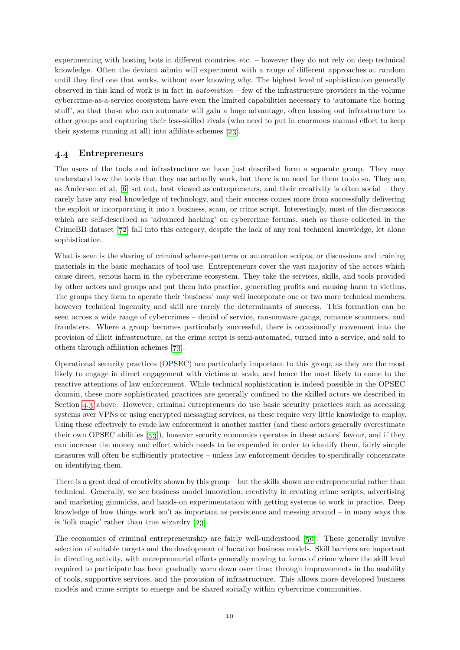experimenting with hosting bots in different countries, etc. – however they do not rely on deep technical knowledge. Often the deviant admin will experiment with a range of different approaches at random until they find one that works, without ever knowing why. The highest level of sophistication generally observed in this kind of work is in fact in *automation* – few of the infrastructure providers in the volume cybercrime-as-a-service ecosystem have even the limited capabilities necessary to 'automate the boring stuff', so that those who can automate will gain a huge advantage, often leasing out infrastructure to other groups and capturing their less-skilled rivals (who need to put in enormous manual effort to keep their systems running at all) into affiliate schemes [\[23\]](#page-17-9).

### **4.4 Entrepreneurs**

The users of the tools and infrastructure we have just described form a separate group. They may understand how the tools that they use actually work, but there is no need for them to do so. They are, as Anderson et al. [\[6\]](#page-16-14) set out, best viewed as entrepreneurs, and their creativity is often social – they rarely have any real knowledge of technology, and their success comes more from successfully delivering the exploit or incorporating it into a business, scam, or crime script. Interestingly, most of the discussions which are self-described as 'advanced hacking' on cybercrime forums, such as those collected in the CrimeBB dataset [\[72\]](#page-19-13) fall into this category, despite the lack of any real technical knowledge, let alone sophistication.

What is seen is the sharing of criminal scheme-patterns or automation scripts, or discussions and training materials in the basic mechanics of tool use. Entrepreneurs cover the vast majority of the actors which cause direct, serious harm in the cybercrime ecosystem. They take the services, skills, and tools provided by other actors and groups and put them into practice, generating profits and causing harm to victims. The groups they form to operate their 'business' may well incorporate one or two more technical members, however technical ingenuity and skill are rarely the determinants of success. This formation can be seen across a wide range of cybercrimes – denial of service, ransomware gangs, romance scammers, and fraudsters. Where a group becomes particularly successful, there is occasionally movement into the provision of illicit infrastructure, as the crime script is semi-automated, turned into a service, and sold to others through affiliation schemes [\[73\]](#page-19-14).

Operational security practices (OPSEC) are particularly important to this group, as they are the most likely to engage in direct engagement with victims at scale, and hence the most likely to come to the reactive attentions of law enforcement. While technical sophistication is indeed possible in the OPSEC domain, these more sophisticated practices are generally confined to the skilled actors we described in Section [4.3](#page-8-0) above. However, criminal entrepreneurs do use basic security practices such as accessing systems over VPNs or using encrypted messaging services, as these require very little knowledge to employ. Using these effectively to evade law enforcement is another matter (and these actors generally overestimate their own OPSEC abilities [\[53\]](#page-18-9)), however security economics operates in these actors' favour, and if they can increase the money and effort which needs to be expended in order to identify them, fairly simple measures will often be sufficiently protective – unless law enforcement decides to specifically concentrate on identifying them.

There is a great deal of creativity shown by this group – but the skills shown are entrepreneurial rather than technical. Generally, we see business model innovation, creativity in creating crime scripts, advertising and marketing gimmicks, and hands-on experimentation with getting systems to work in practice. Deep knowledge of how things work isn't as important as persistence and messing around – in many ways this is 'folk magic' rather than true wizardry [\[23\]](#page-17-9).

The economics of criminal entrepreneurship are fairly well-understood [\[50\]](#page-18-10). These generally involve selection of suitable targets and the development of lucrative business models. Skill barriers are important in directing activity, with entrepreneurial efforts generally moving to forms of crime where the skill level required to participate has been gradually worn down over time; through improvements in the usability of tools, supportive services, and the provision of infrastructure. This allows more developed business models and crime scripts to emerge and be shared socially within cybercrime communities.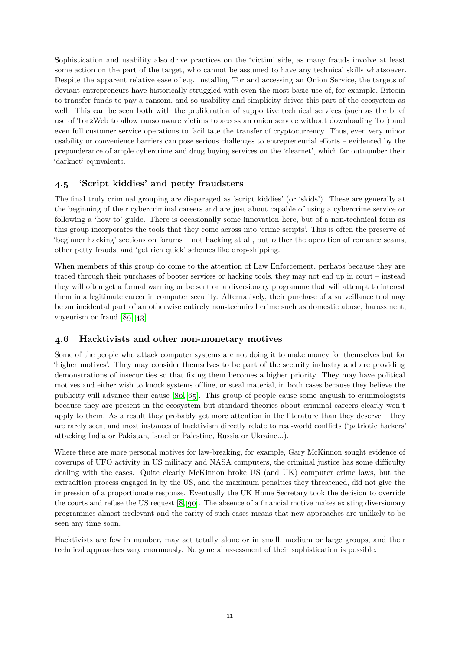Sophistication and usability also drive practices on the 'victim' side, as many frauds involve at least some action on the part of the target, who cannot be assumed to have any technical skills whatsoever. Despite the apparent relative ease of e.g. installing Tor and accessing an Onion Service, the targets of deviant entrepreneurs have historically struggled with even the most basic use of, for example, Bitcoin to transfer funds to pay a ransom, and so usability and simplicity drives this part of the ecosystem as well. This can be seen both with the proliferation of supportive technical services (such as the brief use of Tor2Web to allow ransomware victims to access an onion service without downloading Tor) and even full customer service operations to facilitate the transfer of cryptocurrency. Thus, even very minor usability or convenience barriers can pose serious challenges to entrepreneurial efforts – evidenced by the preponderance of ample cybercrime and drug buying services on the 'clearnet', which far outnumber their 'darknet' equivalents.

#### **4.5 'Script kiddies' and petty fraudsters**

The final truly criminal grouping are disparaged as 'script kiddies' (or 'skids'). These are generally at the beginning of their cybercriminal careers and are just about capable of using a cybercrime service or following a 'how to' guide. There is occasionally some innovation here, but of a non-technical form as this group incorporates the tools that they come across into 'crime scripts'. This is often the preserve of 'beginner hacking' sections on forums – not hacking at all, but rather the operation of romance scams, other petty frauds, and 'get rich quick' schemes like drop-shipping.

When members of this group do come to the attention of Law Enforcement, perhaps because they are traced through their purchases of booter services or hacking tools, they may not end up in court – instead they will often get a formal warning or be sent on a diversionary programme that will attempt to interest them in a legitimate career in computer security. Alternatively, their purchase of a surveillance tool may be an incidental part of an otherwise entirely non-technical crime such as domestic abuse, harassment, voyeurism or fraud [\[89,](#page-20-12) [43\]](#page-18-11).

#### **4.6 Hacktivists and other non-monetary motives**

Some of the people who attack computer systems are not doing it to make money for themselves but for 'higher motives'. They may consider themselves to be part of the security industry and are providing demonstrations of insecurities so that fixing them becomes a higher priority. They may have political motives and either wish to knock systems offline, or steal material, in both cases because they believe the publicity will advance their cause [\[80,](#page-20-13) [65\]](#page-19-15). This group of people cause some anguish to criminologists because they are present in the ecosystem but standard theories about criminal careers clearly won't apply to them. As a result they probably get more attention in the literature than they deserve – they are rarely seen, and most instances of hacktivism directly relate to real-world conflicts ('patriotic hackers' attacking India or Pakistan, Israel or Palestine, Russia or Ukraine...).

Where there are more personal motives for law-breaking, for example, Gary McKinnon sought evidence of coverups of UFO activity in US military and NASA computers, the criminal justice has some difficulty dealing with the cases. Quite clearly McKinnon broke US (and UK) computer crime laws, but the extradition process engaged in by the US, and the maximum penalties they threatened, did not give the impression of a proportionate response. Eventually the UK Home Secretary took the decision to override the courts and refuse the US request [\[8,](#page-16-15) [90\]](#page-20-14). The absence of a financial motive makes existing diversionary programmes almost irrelevant and the rarity of such cases means that new approaches are unlikely to be seen any time soon.

Hacktivists are few in number, may act totally alone or in small, medium or large groups, and their technical approaches vary enormously. No general assessment of their sophistication is possible.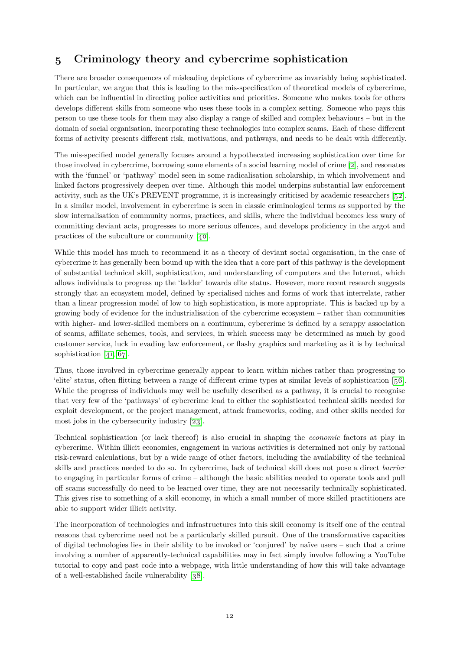### <span id="page-11-0"></span>**5 Criminology theory and cybercrime sophistication**

There are broader consequences of misleading depictions of cybercrime as invariably being sophisticated. In particular, we argue that this is leading to the mis-specification of theoretical models of cybercrime, which can be influential in directing police activities and priorities. Someone who makes tools for others develops different skills from someone who uses these tools in a complex setting. Someone who pays this person to use these tools for them may also display a range of skilled and complex behaviours – but in the domain of social organisation, incorporating these technologies into complex scams. Each of these different forms of activity presents different risk, motivations, and pathways, and needs to be dealt with differently.

The mis-specified model generally focuses around a hypothecated increasing sophistication over time for those involved in cybercrime, borrowing some elements of a social learning model of crime [\[2\]](#page-15-3), and resonates with the 'funnel' or 'pathway' model seen in some radicalisation scholarship, in which involvement and linked factors progressively deepen over time. Although this model underpins substantial law enforcement activity, such as the UK's PREVENT programme, it is increasingly criticised by academic researchers [\[52\]](#page-18-12). In a similar model, involvement in cybercrime is seen in classic criminological terms as supported by the slow internalisation of community norms, practices, and skills, where the individual becomes less wary of committing deviant acts, progresses to more serious offences, and develops proficiency in the argot and practices of the subculture or community [\[40\]](#page-17-10).

While this model has much to recommend it as a theory of deviant social organisation, in the case of cybercrime it has generally been bound up with the idea that a core part of this pathway is the development of substantial technical skill, sophistication, and understanding of computers and the Internet, which allows individuals to progress up the 'ladder' towards elite status. However, more recent research suggests strongly that an ecosystem model, defined by specialised niches and forms of work that interrelate, rather than a linear progression model of low to high sophistication, is more appropriate. This is backed up by a growing body of evidence for the industrialisation of the cybercrime ecosystem – rather than communities with higher- and lower-skilled members on a continuum, cybercrime is defined by a scrappy association of scams, affiliate schemes, tools, and services, in which success may be determined as much by good customer service, luck in evading law enforcement, or flashy graphics and marketing as it is by technical sophistication [\[41,](#page-18-8) [67\]](#page-19-5).

Thus, those involved in cybercrime generally appear to learn within niches rather than progressing to 'elite' status, often flitting between a range of different crime types at similar levels of sophistication [\[56\]](#page-18-13). While the progress of individuals may well be usefully described as a pathway, it is crucial to recognise that very few of the 'pathways' of cybercrime lead to either the sophisticated technical skills needed for exploit development, or the project management, attack frameworks, coding, and other skills needed for most jobs in the cybersecurity industry [\[23\]](#page-17-9).

Technical sophistication (or lack thereof) is also crucial in shaping the *economic* factors at play in cybercrime. Within illicit economies, engagement in various activities is determined not only by rational risk-reward calculations, but by a wide range of other factors, including the availability of the technical skills and practices needed to do so. In cybercrime, lack of technical skill does not pose a direct *barrier* to engaging in particular forms of crime – although the basic abilities needed to operate tools and pull off scams successfully do need to be learned over time, they are not necessarily technically sophisticated. This gives rise to something of a skill economy, in which a small number of more skilled practitioners are able to support wider illicit activity.

The incorporation of technologies and infrastructures into this skill economy is itself one of the central reasons that cybercrime need not be a particularly skilled pursuit. One of the transformative capacities of digital technologies lies in their ability to be invoked or 'conjured' by naïve users – such that a crime involving a number of apparently-technical capabilities may in fact simply involve following a YouTube tutorial to copy and past code into a webpage, with little understanding of how this will take advantage of a well-established facile vulnerability [\[38\]](#page-17-11).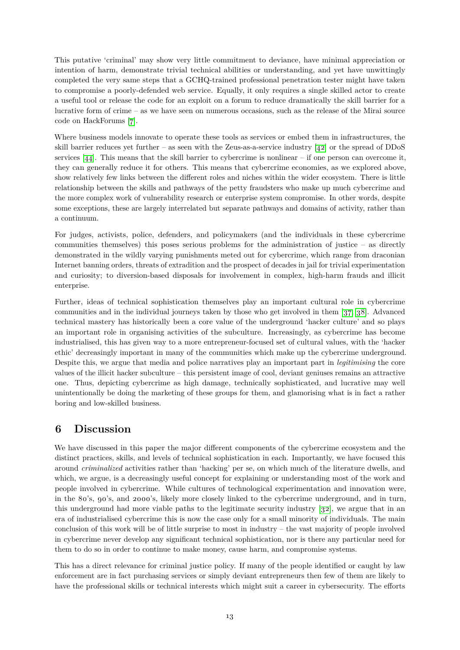This putative 'criminal' may show very little commitment to deviance, have minimal appreciation or intention of harm, demonstrate trivial technical abilities or understanding, and yet have unwittingly completed the very same steps that a GCHQ-trained professional penetration tester might have taken to compromise a poorly-defended web service. Equally, it only requires a single skilled actor to create a useful tool or release the code for an exploit on a forum to reduce dramatically the skill barrier for a lucrative form of crime – as we have seen on numerous occasions, such as the release of the Mirai source code on HackForums [\[7\]](#page-16-13).

Where business models innovate to operate these tools as services or embed them in infrastructures, the skill barrier reduces yet further – as seen with the Zeus-as-a-service industry [\[42\]](#page-18-14) or the spread of DDoS services [\[44\]](#page-18-15). This means that the skill barrier to cybercrime is nonlinear – if one person can overcome it, they can generally reduce it for others. This means that cybercrime economies, as we explored above, show relatively few links between the different roles and niches within the wider ecosystem. There is little relationship between the skills and pathways of the petty fraudsters who make up much cybercrime and the more complex work of vulnerability research or enterprise system compromise. In other words, despite some exceptions, these are largely interrelated but separate pathways and domains of activity, rather than a continuum.

For judges, activists, police, defenders, and policymakers (and the individuals in these cybercrime communities themselves) this poses serious problems for the administration of justice  $-$  as directly demonstrated in the wildly varying punishments meted out for cybercrime, which range from draconian Internet banning orders, threats of extradition and the prospect of decades in jail for trivial experimentation and curiosity; to diversion-based disposals for involvement in complex, high-harm frauds and illicit enterprise.

Further, ideas of technical sophistication themselves play an important cultural role in cybercrime communities and in the individual journeys taken by those who get involved in them [\[37,](#page-17-12) [38\]](#page-17-11). Advanced technical mastery has historically been a core value of the underground 'hacker culture' and so plays an important role in organising activities of the subculture. Increasingly, as cybercrime has become industrialised, this has given way to a more entrepreneur-focused set of cultural values, with the 'hacker ethic' decreasingly important in many of the communities which make up the cybercrime underground. Despite this, we argue that media and police narratives play an important part in *legitimising* the core values of the illicit hacker subculture – this persistent image of cool, deviant geniuses remains an attractive one. Thus, depicting cybercrime as high damage, technically sophisticated, and lucrative may well unintentionally be doing the marketing of these groups for them, and glamorising what is in fact a rather boring and low-skilled business.

### <span id="page-12-0"></span>**6 Discussion**

We have discussed in this paper the major different components of the cybercrime ecosystem and the distinct practices, skills, and levels of technical sophistication in each. Importantly, we have focused this around *criminalized* activities rather than 'hacking' per se, on which much of the literature dwells, and which, we argue, is a decreasingly useful concept for explaining or understanding most of the work and people involved in cybercrime. While cultures of technological experimentation and innovation were, in the 80's, 90's, and 2000's, likely more closely linked to the cybercrime underground, and in turn, this underground had more viable paths to the legitimate security industry [\[32\]](#page-17-7), we argue that in an era of industrialised cybercrime this is now the case only for a small minority of individuals. The main conclusion of this work will be of little surprise to most in industry – the vast majority of people involved in cybercrime never develop any significant technical sophistication, nor is there any particular need for them to do so in order to continue to make money, cause harm, and compromise systems.

This has a direct relevance for criminal justice policy. If many of the people identified or caught by law enforcement are in fact purchasing services or simply deviant entrepreneurs then few of them are likely to have the professional skills or technical interests which might suit a career in cybersecurity. The efforts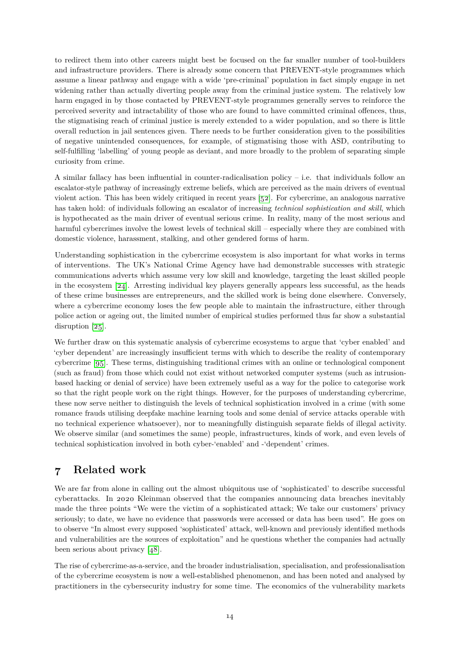to redirect them into other careers might best be focused on the far smaller number of tool-builders and infrastructure providers. There is already some concern that PREVENT-style programmes which assume a linear pathway and engage with a wide 'pre-criminal' population in fact simply engage in net widening rather than actually diverting people away from the criminal justice system. The relatively low harm engaged in by those contacted by PREVENT-style programmes generally serves to reinforce the perceived severity and intractability of those who are found to have committed criminal offences, thus, the stigmatising reach of criminal justice is merely extended to a wider population, and so there is little overall reduction in jail sentences given. There needs to be further consideration given to the possibilities of negative unintended consequences, for example, of stigmatising those with ASD, contributing to self-fulfilling 'labelling' of young people as deviant, and more broadly to the problem of separating simple curiosity from crime.

A similar fallacy has been influential in counter-radicalisation policy – i.e. that individuals follow an escalator-style pathway of increasingly extreme beliefs, which are perceived as the main drivers of eventual violent action. This has been widely critiqued in recent years [\[52\]](#page-18-12). For cybercrime, an analogous narrative has taken hold: of individuals following an escalator of increasing *technical sophistication and skill*, which is hypothecated as the main driver of eventual serious crime. In reality, many of the most serious and harmful cybercrimes involve the lowest levels of technical skill – especially where they are combined with domestic violence, harassment, stalking, and other gendered forms of harm.

Understanding sophistication in the cybercrime ecosystem is also important for what works in terms of interventions. The UK's National Crime Agency have had demonstrable successes with strategic communications adverts which assume very low skill and knowledge, targeting the least skilled people in the ecosystem  $[24]$ . Arresting individual key players generally appears less successful, as the heads of these crime businesses are entrepreneurs, and the skilled work is being done elsewhere. Conversely, where a cybercrime economy loses the few people able to maintain the infrastructure, either through police action or ageing out, the limited number of empirical studies performed thus far show a substantial disruption [\[25\]](#page-17-14).

We further draw on this systematic analysis of cybercrime ecosystems to argue that 'cyber enabled' and 'cyber dependent' are increasingly insufficient terms with which to describe the reality of contemporary cybercrime [\[95\]](#page-20-15). These terms, distinguishing traditional crimes with an online or technological component (such as fraud) from those which could not exist without networked computer systems (such as intrusionbased hacking or denial of service) have been extremely useful as a way for the police to categorise work so that the right people work on the right things. However, for the purposes of understanding cybercrime, these now serve neither to distinguish the levels of technical sophistication involved in a crime (with some romance frauds utilising deepfake machine learning tools and some denial of service attacks operable with no technical experience whatsoever), nor to meaningfully distinguish separate fields of illegal activity. We observe similar (and sometimes the same) people, infrastructures, kinds of work, and even levels of technical sophistication involved in both cyber-'enabled' and -'dependent' crimes.

## <span id="page-13-0"></span>**7 Related work**

We are far from alone in calling out the almost ubiquitous use of 'sophisticated' to describe successful cyberattacks. In 2020 Kleinman observed that the companies announcing data breaches inevitably made the three points "We were the victim of a sophisticated attack; We take our customers' privacy seriously; to date, we have no evidence that passwords were accessed or data has been used". He goes on to observe "In almost every supposed 'sophisticated' attack, well-known and previously identified methods and vulnerabilities are the sources of exploitation" and he questions whether the companies had actually been serious about privacy [\[48\]](#page-18-16).

The rise of cybercrime-as-a-service, and the broader industrialisation, specialisation, and professionalisation of the cybercrime ecosystem is now a well-established phenomenon, and has been noted and analysed by practitioners in the cybersecurity industry for some time. The economics of the vulnerability markets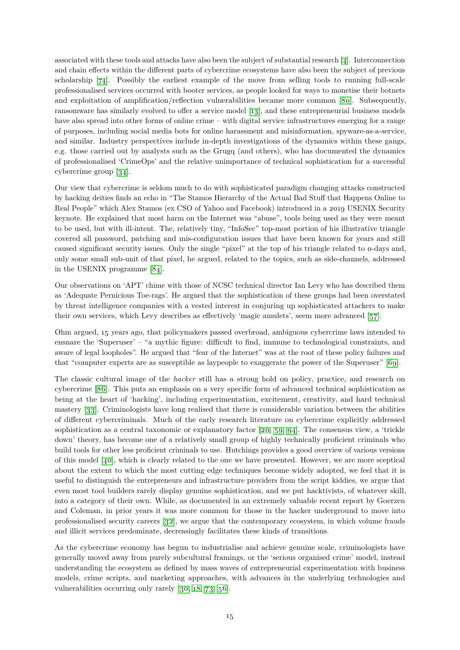associated with these tools and attacks have also been the subject of substantial research [\[4\]](#page-16-16). Interconnection and chain effects within the different parts of cybercrime ecosystems have also been the subject of previous scholarship [\[74\]](#page-19-16). Possibly the earliest example of the move from selling tools to running full-scale professionalised services occurred with booter services, as people looked for ways to monetise their botnets and exploitation of amplification/reflection vulnerabilities became more common [\[80\]](#page-20-13). Subsequently, ransomware has similarly evolved to offer a service model [\[13\]](#page-16-12), and these entrepreneurial business models have also spread into other forms of online crime – with digital service infrastructures emerging for a range of purposes, including social media bots for online harassment and misinformation, spyware-as-a-service, and similar. Industry perspectives include in-depth investigations of the dynamics within these gangs, e.g. those carried out by analysts such as the Grugq (and others), who has documented the dynamics of professionalised 'CrimeOps' and the relative unimportance of technical sophistication for a successful cybercrime group [\[34\]](#page-17-15).

Our view that cybercrime is seldom much to do with sophisticated paradigm changing attacks constructed by hacking deities finds an echo in "The Stamos Hierarchy of the Actual Bad Stuff that Happens Online to Real People" which Alex Stamos (ex CSO of Yahoo and Facebook) introduced in a 2019 USENIX Security keynote. He explained that most harm on the Internet was "abuse", tools being used as they were meant to be used, but with ill-intent. The, relatively tiny, "InfoSec" top-most portion of his illustrative triangle covered all password, patching and mis-configuration issues that have been known for years and still caused significant security issues. Only the single "pixel" at the top of his triangle related to 0-days and, only some small sub-unit of that pixel, he argued, related to the topics, such as side-channels, addressed in the USENIX programme [\[84\]](#page-20-16).

Our observations on 'APT' chime with those of NCSC technical director Ian Levy who has described them as 'Adequate Pernicious Toe-rags'. He argued that the sophistication of these groups had been overstated by threat intelligence companies with a vested interest in conjuring up sophisticated attackers to make their own services, which Levy describes as effectively 'magic amulets', seem more advanced [\[57\]](#page-18-17).

Ohm argued, 15 years ago, that policymakers passed overbroad, ambiguous cybercrime laws intended to ensnare the 'Superuser' – "a mythic figure: difficult to find, immune to technological constraints, and aware of legal loopholes". He argued that "fear of the Internet" was at the root of these policy failures and that "computer experts are as susceptible as laypeople to exaggerate the power of the Superuser" [\[69\]](#page-19-17).

The classic cultural image of the *hacker* still has a strong hold on policy, practice, and research on cybercrime [\[86\]](#page-20-17). This puts an emphasis on a very specific form of advanced technical sophistication as being at the heart of 'hacking', including experimentation, excitement, creativity, and hard technical mastery [\[33\]](#page-17-16). Criminologists have long realised that there is considerable variation between the abilities of different cybercriminals. Much of the early research literature on cybercrime explicitly addressed sophistication as a central taxonomic or explanatory factor  $[20, 59, 94]$  $[20, 59, 94]$  $[20, 59, 94]$  $[20, 59, 94]$  $[20, 59, 94]$ . The consensus view, a 'trickle down' theory, has become one of a relatively small group of highly technically proficient criminals who build tools for other less proficient criminals to use. Hutchings provides a good overview of various versions of this model [\[40\]](#page-17-10), which is clearly related to the one we have presented. However, we are more sceptical about the extent to which the most cutting edge techniques become widely adopted, we feel that it is useful to distinguish the entrepreneurs and infrastructure providers from the script kiddies, we argue that even most tool builders rarely display genuine sophistication, and we put hacktivists, of whatever skill, into a category of their own. While, as documented in an extremely valuable recent report by Goerzen and Coleman, in prior years it was more common for those in the hacker underground to move into professionalised security careers [\[32\]](#page-17-7), we argue that the contemporary ecosystem, in which volume frauds and illicit services predominate, decreasingly facilitates these kinds of transitions.

As the cybercrime economy has begun to industrialise and achieve genuine scale, criminologists have generally moved away from purely subcultural framings, or the 'serious organised crime' model, instead understanding the ecosystem as defined by mass waves of entrepreneurial experimentation with business models, crime scripts, and marketing approaches, with advances in the underlying technologies and vulnerabilities occurring only rarely [\[30,](#page-17-17) [18,](#page-16-18) [73,](#page-19-14) [56\]](#page-18-13).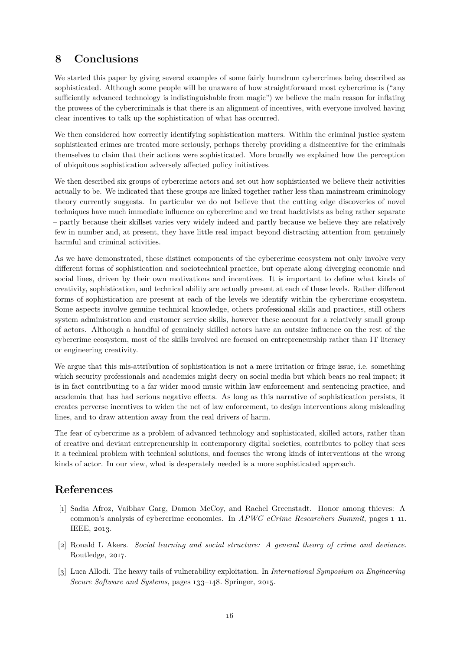### <span id="page-15-0"></span>**8 Conclusions**

We started this paper by giving several examples of some fairly humdrum cybercrimes being described as sophisticated. Although some people will be unaware of how straightforward most cybercrime is ("any sufficiently advanced technology is indistinguishable from magic") we believe the main reason for inflating the prowess of the cybercriminals is that there is an alignment of incentives, with everyone involved having clear incentives to talk up the sophistication of what has occurred.

We then considered how correctly identifying sophistication matters. Within the criminal justice system sophisticated crimes are treated more seriously, perhaps thereby providing a disincentive for the criminals themselves to claim that their actions were sophisticated. More broadly we explained how the perception of ubiquitous sophistication adversely affected policy initiatives.

We then described six groups of cybercrime actors and set out how sophisticated we believe their activities actually to be. We indicated that these groups are linked together rather less than mainstream criminology theory currently suggests. In particular we do not believe that the cutting edge discoveries of novel techniques have much immediate influence on cybercrime and we treat hacktivists as being rather separate – partly because their skillset varies very widely indeed and partly because we believe they are relatively few in number and, at present, they have little real impact beyond distracting attention from genuinely harmful and criminal activities.

As we have demonstrated, these distinct components of the cybercrime ecosystem not only involve very different forms of sophistication and sociotechnical practice, but operate along diverging economic and social lines, driven by their own motivations and incentives. It is important to define what kinds of creativity, sophistication, and technical ability are actually present at each of these levels. Rather different forms of sophistication are present at each of the levels we identify within the cybercrime ecosystem. Some aspects involve genuine technical knowledge, others professional skills and practices, still others system administration and customer service skills, however these account for a relatively small group of actors. Although a handful of genuinely skilled actors have an outsize influence on the rest of the cybercrime ecosystem, most of the skills involved are focused on entrepreneurship rather than IT literacy or engineering creativity.

We argue that this mis-attribution of sophistication is not a mere irritation or fringe issue, i.e. something which security professionals and academics might decry on social media but which bears no real impact; it is in fact contributing to a far wider mood music within law enforcement and sentencing practice, and academia that has had serious negative effects. As long as this narrative of sophistication persists, it creates perverse incentives to widen the net of law enforcement, to design interventions along misleading lines, and to draw attention away from the real drivers of harm.

The fear of cybercrime as a problem of advanced technology and sophisticated, skilled actors, rather than of creative and deviant entrepreneurship in contemporary digital societies, contributes to policy that sees it a technical problem with technical solutions, and focuses the wrong kinds of interventions at the wrong kinds of actor. In our view, what is desperately needed is a more sophisticated approach.

### **References**

- <span id="page-15-2"></span>[1] Sadia Afroz, Vaibhav Garg, Damon McCoy, and Rachel Greenstadt. Honor among thieves: A common's analysis of cybercrime economies. In *APWG eCrime Researchers Summit*, pages 1–11. IEEE, 2013.
- <span id="page-15-3"></span>[2] Ronald L Akers. *Social learning and social structure: A general theory of crime and deviance*. Routledge, 2017.
- <span id="page-15-1"></span>[3] Luca Allodi. The heavy tails of vulnerability exploitation. In *International Symposium on Engineering Secure Software and Systems*, pages 133–148. Springer, 2015.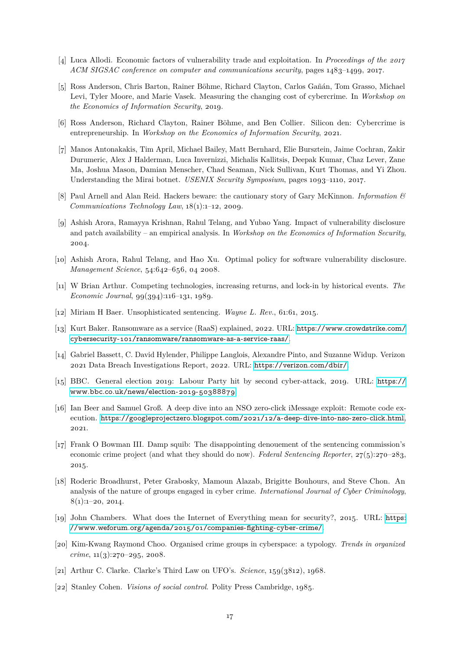- <span id="page-16-16"></span>[4] Luca Allodi. Economic factors of vulnerability trade and exploitation. In *Proceedings of the 2017 ACM SIGSAC conference on computer and communications security*, pages 1483–1499, 2017.
- <span id="page-16-5"></span>[5] Ross Anderson, Chris Barton, Rainer Böhme, Richard Clayton, Carlos Gañán, Tom Grasso, Michael Levi, Tyler Moore, and Marie Vasek. Measuring the changing cost of cybercrime. In *Workshop on the Economics of Information Security*, 2019.
- <span id="page-16-14"></span>[6] Ross Anderson, Richard Clayton, Rainer Böhme, and Ben Collier. Silicon den: Cybercrime is entrepreneurship. In *Workshop on the Economics of Information Security*, 2021.
- <span id="page-16-13"></span>[7] Manos Antonakakis, Tim April, Michael Bailey, Matt Bernhard, Elie Bursztein, Jaime Cochran, Zakir Durumeric, Alex J Halderman, Luca Invernizzi, Michalis Kallitsis, Deepak Kumar, Chaz Lever, Zane Ma, Joshua Mason, Damian Menscher, Chad Seaman, Nick Sullivan, Kurt Thomas, and Yi Zhou. Understanding the Mirai botnet. *USENIX Security Symposium*, pages 1093–1110, 2017.
- <span id="page-16-15"></span>[8] Paul Arnell and Alan Reid. Hackers beware: the cautionary story of Gary McKinnon. *Information & Communications Technology Law*, 18(1):1–12, 2009.
- <span id="page-16-9"></span>[9] Ashish Arora, Ramayya Krishnan, Rahul Telang, and Yubao Yang. Impact of vulnerability disclosure and patch availability – an empirical analysis. In *Workshop on the Economics of Information Security*, 2004.
- <span id="page-16-10"></span>[10] Ashish Arora, Rahul Telang, and Hao Xu. Optimal policy for software vulnerability disclosure. *Management Science*, 54:642–656, 04 2008.
- <span id="page-16-11"></span>[11] W Brian Arthur. Competing technologies, increasing returns, and lock-in by historical events. *The Economic Journal*, 99(394):116–131, 1989.
- <span id="page-16-12"></span><span id="page-16-6"></span>[12] Miriam H Baer. Unsophisticated sentencing. *Wayne L. Rev.*, 61:61, 2015.
- [13] Kurt Baker. Ransomware as a service (RaaS) explained, 2022. URL: [https://www.crowdstrike.com/](https://www.crowdstrike.com/cybersecurity-101/ransomware/ransomware-as-a-service-raas/) [cybersecurity-101/ransomware/ransomware-as-a-service-raas/](https://www.crowdstrike.com/cybersecurity-101/ransomware/ransomware-as-a-service-raas/).
- <span id="page-16-2"></span>[14] Gabriel Bassett, C. David Hylender, Philippe Langlois, Alexandre Pinto, and Suzanne Widup. Verizon 2021 Data Breach Investigations Report, 2022. URL: <https://verizon.com/dbir/>.
- <span id="page-16-0"></span>[15] BBC. General election 2019: Labour Party hit by second cyber-attack, 2019. URL: [https://](https://www.bbc.co.uk/news/election-2019-50388879) [www.bbc.co.uk/news/election-2019-50388879](https://www.bbc.co.uk/news/election-2019-50388879).
- <span id="page-16-1"></span>[16] Ian Beer and Samuel Groß. A deep dive into an NSO zero-click iMessage exploit: Remote code execution. <https://googleprojectzero.blogspot.com/2021/12/a-deep-dive-into-nso-zero-click.html>, 2021.
- <span id="page-16-7"></span>[17] Frank O Bowman III. Damp squib: The disappointing denouement of the sentencing commission's economic crime project (and what they should do now). *Federal Sentencing Reporter*, 27(5):270–283, 2015.
- <span id="page-16-18"></span>[18] Roderic Broadhurst, Peter Grabosky, Mamoun Alazab, Brigitte Bouhours, and Steve Chon. An analysis of the nature of groups engaged in cyber crime. *International Journal of Cyber Criminology*,  $8(1):1-20, 2014.$
- <span id="page-16-3"></span>[19] John Chambers. What does the Internet of Everything mean for security?, 2015. URL: [https:](https://www.weforum.org/agenda/2015/01/companies-fighting-cyber-crime/) [//www.weforum.org/agenda/2015/01/companies-fighting-cyber-crime/](https://www.weforum.org/agenda/2015/01/companies-fighting-cyber-crime/).
- <span id="page-16-17"></span>[20] Kim-Kwang Raymond Choo. Organised crime groups in cyberspace: a typology. *Trends in organized crime*, 11(3):270–295, 2008.
- <span id="page-16-8"></span><span id="page-16-4"></span>[21] Arthur C. Clarke. Clarke's Third Law on UFO's. *Science*, 159(3812), 1968.
- [22] Stanley Cohen. *Visions of social control*. Polity Press Cambridge, 1985.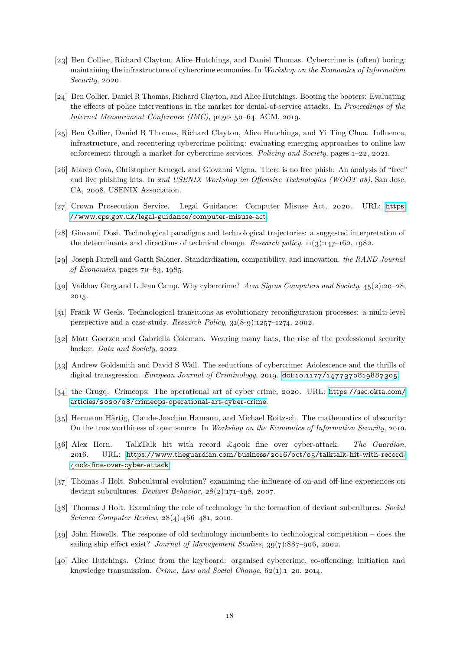- <span id="page-17-9"></span>[23] Ben Collier, Richard Clayton, Alice Hutchings, and Daniel Thomas. Cybercrime is (often) boring: maintaining the infrastructure of cybercrime economies. In *Workshop on the Economics of Information Security*, 2020.
- <span id="page-17-13"></span>[24] Ben Collier, Daniel R Thomas, Richard Clayton, and Alice Hutchings. Booting the booters: Evaluating the effects of police interventions in the market for denial-of-service attacks. In *Proceedings of the Internet Measurement Conference (IMC)*, pages 50–64. ACM, 2019.
- <span id="page-17-14"></span>[25] Ben Collier, Daniel R Thomas, Richard Clayton, Alice Hutchings, and Yi Ting Chua. Influence, infrastructure, and recentering cybercrime policing: evaluating emerging approaches to online law enforcement through a market for cybercrime services. *Policing and Society*, pages 1–22, 2021.
- <span id="page-17-8"></span>[26] Marco Cova, Christopher Kruegel, and Giovanni Vigna. There is no free phish: An analysis of "free" and live phishing kits. In *2nd USENIX Workshop on Offensive Technologies (WOOT 08)*, San Jose, CA, 2008. USENIX Association.
- <span id="page-17-1"></span>[27] Crown Prosecution Service. Legal Guidance: Computer Misuse Act, 2020. URL: [https:](https://www.cps.gov.uk/legal-guidance/computer-misuse-act) [//www.cps.gov.uk/legal-guidance/computer-misuse-act](https://www.cps.gov.uk/legal-guidance/computer-misuse-act).
- <span id="page-17-3"></span>[28] Giovanni Dosi. Technological paradigms and technological trajectories: a suggested interpretation of the determinants and directions of technical change. *Research policy*, 11(3):147–162, 1982.
- <span id="page-17-5"></span>[29] Joseph Farrell and Garth Saloner. Standardization, compatibility, and innovation. *the RAND Journal of Economics*, pages 70–83, 1985.
- <span id="page-17-17"></span>[30] Vaibhav Garg and L Jean Camp. Why cybercrime? *Acm Sigcas Computers and Society*, 45(2):20–28, 2015.
- <span id="page-17-6"></span>[31] Frank W Geels. Technological transitions as evolutionary reconfiguration processes: a multi-level perspective and a case-study. *Research Policy*, 31(8-9):1257–1274, 2002.
- <span id="page-17-7"></span>[32] Matt Goerzen and Gabriella Coleman. Wearing many hats, the rise of the professional security hacker. *Data and Society*, 2022.
- <span id="page-17-16"></span>[33] Andrew Goldsmith and David S Wall. The seductions of cybercrime: Adolescence and the thrills of digital transgression. *European Journal of Criminology*, 2019. [doi:10.1177/1477370819887305](https://doi.org/10.1177/1477370819887305).
- <span id="page-17-15"></span>[34] the Grugq. Crimeops: The operational art of cyber crime, 2020. URL: [https://sec.okta.com/](https://sec.okta.com/articles/2020/08/crimeops-operational-art-cyber-crime) [articles/2020/08/crimeops-operational-art-cyber-crime](https://sec.okta.com/articles/2020/08/crimeops-operational-art-cyber-crime).
- <span id="page-17-2"></span>[35] Hermann Härtig, Claude-Joachim Hamann, and Michael Roitzsch. The mathematics of obscurity: On the trustworthiness of open source. In *Workshop on the Economics of Information Security*, 2010.
- <span id="page-17-0"></span>[36] Alex Hern. TalkTalk hit with record £400k fine over cyber-attack. *The Guardian*, 2016. URL: [https://www.theguardian.com/business/2016/oct/05/talktalk-hit-with-record-](https://www.theguardian.com/business/2016/oct/05/talktalk-hit-with-record-400k-fine-over-cyber-attack)[400k-fine-over-cyber-attack](https://www.theguardian.com/business/2016/oct/05/talktalk-hit-with-record-400k-fine-over-cyber-attack).
- <span id="page-17-12"></span>[37] Thomas J Holt. Subcultural evolution? examining the influence of on-and off-line experiences on deviant subcultures. *Deviant Behavior*, 28(2):171–198, 2007.
- <span id="page-17-11"></span>[38] Thomas J Holt. Examining the role of technology in the formation of deviant subcultures. *Social Science Computer Review*, 28(4):466–481, 2010.
- <span id="page-17-4"></span>[39] John Howells. The response of old technology incumbents to technological competition – does the sailing ship effect exist? *Journal of Management Studies*, 39(7):887–906, 2002.
- <span id="page-17-10"></span>[40] Alice Hutchings. Crime from the keyboard: organised cybercrime, co-offending, initiation and knowledge transmission. *Crime, Law and Social Change*, 62(1):1–20, 2014.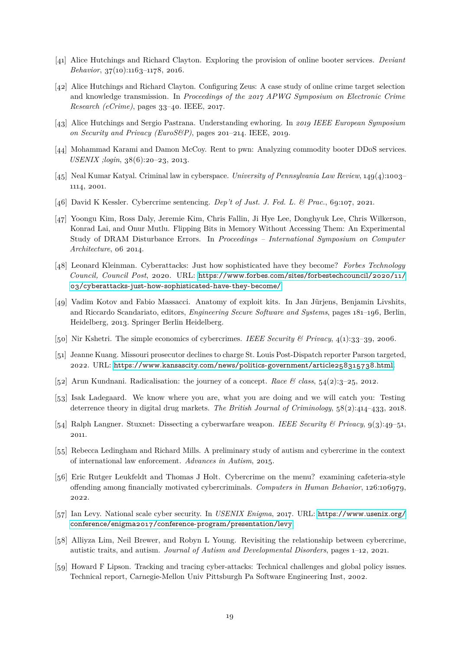- <span id="page-18-8"></span>[41] Alice Hutchings and Richard Clayton. Exploring the provision of online booter services. *Deviant Behavior*, 37(10):1163-1178, 2016.
- <span id="page-18-14"></span>[42] Alice Hutchings and Richard Clayton. Configuring Zeus: A case study of online crime target selection and knowledge transmission. In *Proceedings of the 2017 APWG Symposium on Electronic Crime Research (eCrime)*, pages 33–40. IEEE, 2017.
- <span id="page-18-11"></span>[43] Alice Hutchings and Sergio Pastrana. Understanding ewhoring. In *2019 IEEE European Symposium on Security and Privacy (EuroS&P)*, pages 201–214. IEEE, 2019.
- <span id="page-18-15"></span>[44] Mohammad Karami and Damon McCoy. Rent to pwn: Analyzing commodity booter DDoS services. *USENIX ;login*, 38(6):20–23, 2013.
- <span id="page-18-3"></span>[45] Neal Kumar Katyal. Criminal law in cyberspace. *University of Pennsylvania Law Review*, 149(4):1003– 1114, 2001.
- <span id="page-18-6"></span><span id="page-18-2"></span>[46] David K Kessler. Cybercrime sentencing. *Dep't of Just. J. Fed. L. & Prac.*, 69:107, 2021.
- [47] Yoongu Kim, Ross Daly, Jeremie Kim, Chris Fallin, Ji Hye Lee, Donghyuk Lee, Chris Wilkerson, Konrad Lai, and Onur Mutlu. Flipping Bits in Memory Without Accessing Them: An Experimental Study of DRAM Disturbance Errors. In *Proceedings – International Symposium on Computer Architecture*, 06 2014.
- <span id="page-18-16"></span>[48] Leonard Kleinman. Cyberattacks: Just how sophisticated have they become? *Forbes Technology Council, Council Post*, 2020. URL: [https://www.forbes.com/sites/forbestechcouncil/2020/11/](https://www.forbes.com/sites/forbestechcouncil/2020/11/03/cyberattacks-just-how-sophisticated-have-they-become/) [03/cyberattacks-just-how-sophisticated-have-they-become/](https://www.forbes.com/sites/forbestechcouncil/2020/11/03/cyberattacks-just-how-sophisticated-have-they-become/).
- <span id="page-18-7"></span>[49] Vadim Kotov and Fabio Massacci. Anatomy of exploit kits. In Jan Jürjens, Benjamin Livshits, and Riccardo Scandariato, editors, *Engineering Secure Software and Systems*, pages 181–196, Berlin, Heidelberg, 2013. Springer Berlin Heidelberg.
- <span id="page-18-10"></span><span id="page-18-1"></span>[50] Nir Kshetri. The simple economics of cybercrimes. *IEEE Security & Privacy*, 4(1):33–39, 2006.
- [51] Jeanne Kuang. Missouri prosecutor declines to charge St. Louis Post-Dispatch reporter Parson targeted, 2022. URL: <https://www.kansascity.com/news/politics-government/article258315738.html>.
- <span id="page-18-12"></span><span id="page-18-9"></span>[52] Arun Kundnani. Radicalisation: the journey of a concept. *Race & class*, 54(2):3–25, 2012.
- [53] Isak Ladegaard. We know where you are, what you are doing and we will catch you: Testing deterrence theory in digital drug markets. *The British Journal of Criminology*, 58(2):414–433, 2018.
- <span id="page-18-0"></span>[54] Ralph Langner. Stuxnet: Dissecting a cyberwarfare weapon. *IEEE Security & Privacy*, 9(3):49–51, 2011.
- <span id="page-18-4"></span>[55] Rebecca Ledingham and Richard Mills. A preliminary study of autism and cybercrime in the context of international law enforcement. *Advances in Autism*, 2015.
- <span id="page-18-13"></span>[56] Eric Rutger Leukfeldt and Thomas J Holt. Cybercrime on the menu? examining cafeteria-style offending among financially motivated cybercriminals. *Computers in Human Behavior*, 126:106979, 2022.
- <span id="page-18-17"></span>[57] Ian Levy. National scale cyber security. In *USENIX Enigma*, 2017. URL: [https://www.usenix.org/](https://www.usenix.org/conference/enigma2017/conference-program/presentation/levy) [conference/enigma2017/conference-program/presentation/levy](https://www.usenix.org/conference/enigma2017/conference-program/presentation/levy).
- <span id="page-18-5"></span>[58] Alliyza Lim, Neil Brewer, and Robyn L Young. Revisiting the relationship between cybercrime, autistic traits, and autism. *Journal of Autism and Developmental Disorders*, pages 1–12, 2021.
- <span id="page-18-18"></span>[59] Howard F Lipson. Tracking and tracing cyber-attacks: Technical challenges and global policy issues. Technical report, Carnegie-Mellon Univ Pittsburgh Pa Software Engineering Inst, 2002.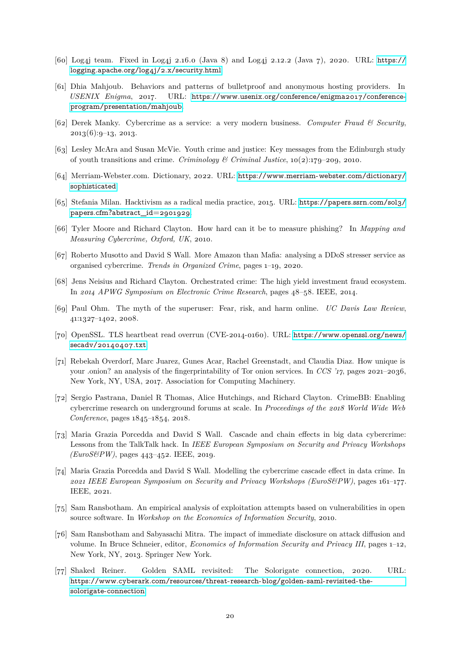- <span id="page-19-9"></span>[60] Log4j team. Fixed in Log4j 2.16.0 (Java 8) and Log4j 2.12.2 (Java 7), 2020. URL: [https://](https://logging.apache.org/log4j/2.x/security.html) [logging.apache.org/log4j/2.x/security.html](https://logging.apache.org/log4j/2.x/security.html).
- <span id="page-19-12"></span>[61] Dhia Mahjoub. Behaviors and patterns of bulletproof and anonymous hosting providers. In *USENIX Enigma*, 2017. URL: [https://www.usenix.org/conference/enigma2017/conference](https://www.usenix.org/conference/enigma2017/conference-program/presentation/mahjoub)[program/presentation/mahjoub](https://www.usenix.org/conference/enigma2017/conference-program/presentation/mahjoub).
- <span id="page-19-4"></span>[62] Derek Manky. Cybercrime as a service: a very modern business. *Computer Fraud & Security*,  $2013(6):9-13, 2013.$
- <span id="page-19-3"></span>[63] Lesley McAra and Susan McVie. Youth crime and justice: Key messages from the Edinburgh study of youth transitions and crime. *Criminology & Criminal Justice*, 10(2):179–209, 2010.
- <span id="page-19-0"></span>[64] Merriam-Webster.com. Dictionary, 2022. URL: [https://www.merriam-webster.com/dictionary/](https://www.merriam-webster.com/dictionary/sophisticated) [sophisticated](https://www.merriam-webster.com/dictionary/sophisticated).
- <span id="page-19-15"></span>[65] Stefania Milan. Hacktivism as a radical media practice, 2015. URL: [https://papers.ssrn.com/sol3/](https://papers.ssrn.com/sol3/papers.cfm?abstract_id=2901929) papers.cfm?[abstract\\_id](https://papers.ssrn.com/sol3/papers.cfm?abstract_id=2901929)=2901929.
- <span id="page-19-2"></span>[66] Tyler Moore and Richard Clayton. How hard can it be to measure phishing? In *Mapping and Measuring Cybercrime, Oxford, UK*, 2010.
- <span id="page-19-5"></span>[67] Roberto Musotto and David S Wall. More Amazon than Mafia: analysing a DDoS stresser service as organised cybercrime. *Trends in Organized Crime*, pages 1–19, 2020.
- <span id="page-19-10"></span>[68] Jens Neisius and Richard Clayton. Orchestrated crime: The high yield investment fraud ecosystem. In *2014 APWG Symposium on Electronic Crime Research*, pages 48–58. IEEE, 2014.
- <span id="page-19-17"></span>[69] Paul Ohm. The myth of the superuser: Fear, risk, and harm online. *UC Davis Law Review*, 41:1327–1402, 2008.
- <span id="page-19-8"></span>[70] OpenSSL. TLS heartbeat read overrun (CVE-2014-0160). URL: [https://www.openssl.org/news/](https://www.openssl.org/news/secadv/20140407.txt) [secadv/20140407.txt](https://www.openssl.org/news/secadv/20140407.txt).
- <span id="page-19-11"></span>[71] Rebekah Overdorf, Marc Juarez, Gunes Acar, Rachel Greenstadt, and Claudia Diaz. How unique is your .onion? an analysis of the fingerprintability of Tor onion services. In *CCS '17*, pages 2021–2036, New York, NY, USA, 2017. Association for Computing Machinery.
- <span id="page-19-13"></span>[72] Sergio Pastrana, Daniel R Thomas, Alice Hutchings, and Richard Clayton. CrimeBB: Enabling cybercrime research on underground forums at scale. In *Proceedings of the 2018 World Wide Web Conference*, pages 1845–1854, 2018.
- <span id="page-19-14"></span>[73] Maria Grazia Porcedda and David S Wall. Cascade and chain effects in big data cybercrime: Lessons from the TalkTalk hack. In *IEEE European Symposium on Security and Privacy Workshops (EuroS&PW)*, pages 443–452. IEEE, 2019.
- <span id="page-19-16"></span>[74] Maria Grazia Porcedda and David S Wall. Modelling the cybercrime cascade effect in data crime. In *2021 IEEE European Symposium on Security and Privacy Workshops (EuroS&PW)*, pages 161–177. IEEE, 2021.
- <span id="page-19-6"></span>[75] Sam Ransbotham. An empirical analysis of exploitation attempts based on vulnerabilities in open source software. In *Workshop on the Economics of Information Security*, 2010.
- <span id="page-19-7"></span>[76] Sam Ransbotham and Sabyasachi Mitra. The impact of immediate disclosure on attack diffusion and volume. In Bruce Schneier, editor, *Economics of Information Security and Privacy III*, pages 1–12, New York, NY, 2013. Springer New York.
- <span id="page-19-1"></span>[77] Shaked Reiner. Golden SAML revisited: The Solorigate connection, 2020. URL: [https://www.cyberark.com/resources/threat-research-blog/golden-saml-revisited-the](https://www.cyberark.com/resources/threat-research-blog/golden-saml-revisited-the-solorigate-connection)[solorigate-connection](https://www.cyberark.com/resources/threat-research-blog/golden-saml-revisited-the-solorigate-connection).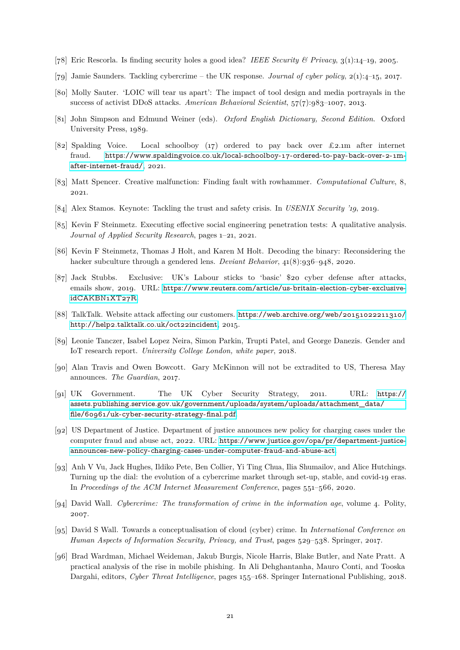- <span id="page-20-7"></span><span id="page-20-6"></span>[78] Eric Rescorla. Is finding security holes a good idea? *IEEE Security & Privacy*, 3(1):14–19, 2005.
- <span id="page-20-13"></span>[79] Jamie Saunders. Tackling cybercrime – the UK response. *Journal of cyber policy*, 2(1):4–15, 2017.
- [80] Molly Sauter. 'LOIC will tear us apart': The impact of tool design and media portrayals in the success of activist DDoS attacks. *American Behavioral Scientist*, 57(7):983–1007, 2013.
- <span id="page-20-0"></span>[81] John Simpson and Edmund Weiner (eds). *Oxford English Dictionary, Second Edition*. Oxford University Press, 1989.
- <span id="page-20-1"></span>[82] Spalding Voice. Local schoolboy (17) ordered to pay back over £2.1m after internet fraud. [https://www.spaldingvoice.co.uk/local-schoolboy-17-ordered-to-pay-back-over-2-1m](https://www.spaldingvoice.co.uk/local-schoolboy-17-ordered-to-pay-back-over-2-1m-after-internet-fraud/)[after-internet-fraud/](https://www.spaldingvoice.co.uk/local-schoolboy-17-ordered-to-pay-back-over-2-1m-after-internet-fraud/), 2021.
- <span id="page-20-8"></span>[83] Matt Spencer. Creative malfunction: Finding fault with rowhammer. *Computational Culture*, 8, 2021.
- <span id="page-20-16"></span><span id="page-20-9"></span>[84] Alex Stamos. Keynote: Tackling the trust and safety crisis. In *USENIX Security '19*, 2019.
- [85] Kevin F Steinmetz. Executing effective social engineering penetration tests: A qualitative analysis. *Journal of Applied Security Research*, pages 1–21, 2021.
- <span id="page-20-17"></span>[86] Kevin F Steinmetz, Thomas J Holt, and Karen M Holt. Decoding the binary: Reconsidering the hacker subculture through a gendered lens. *Deviant Behavior*, 41(8):936–948, 2020.
- <span id="page-20-3"></span>[87] Jack Stubbs. Exclusive: UK's Labour sticks to 'basic' \$20 cyber defense after attacks, emails show, 2019. URL: [https://www.reuters.com/article/us-britain-election-cyber-exclusive](https://www.reuters.com/article/us-britain-election-cyber-exclusive-idCAKBN1XT27R)[idCAKBN1XT27R](https://www.reuters.com/article/us-britain-election-cyber-exclusive-idCAKBN1XT27R).
- <span id="page-20-2"></span>[88] TalkTalk. Website attack affecting our customers. [https://web.archive.org/web/20151022211310/](https://web.archive.org/web/20151022211310/http://help2.talktalk.co.uk/oct22incident) [http://help2.talktalk.co.uk/oct22incident](https://web.archive.org/web/20151022211310/http://help2.talktalk.co.uk/oct22incident), 2015.
- <span id="page-20-12"></span>[89] Leonie Tanczer, Isabel Lopez Neira, Simon Parkin, Trupti Patel, and George Danezis. Gender and IoT research report. *University College London, white paper*, 2018.
- <span id="page-20-14"></span>[90] Alan Travis and Owen Bowcott. Gary McKinnon will not be extradited to US, Theresa May announces. *The Guardian*, 2017.
- <span id="page-20-4"></span>[91] UK Government. The UK Cyber Security Strategy, 2011. URL: [https://](https://assets.publishing.service.gov.uk/government/uploads/system/uploads/attachment_data/file/60961/uk-cyber-security-strategy-final.pdf) [assets.publishing.service.gov.uk/government/uploads/system/uploads/attachment\\_data/](https://assets.publishing.service.gov.uk/government/uploads/system/uploads/attachment_data/file/60961/uk-cyber-security-strategy-final.pdf) [file/60961/uk-cyber-security-strategy-final.pdf](https://assets.publishing.service.gov.uk/government/uploads/system/uploads/attachment_data/file/60961/uk-cyber-security-strategy-final.pdf).
- <span id="page-20-5"></span>[92] US Department of Justice. Department of justice announces new policy for charging cases under the computer fraud and abuse act, 2022. URL: [https://www.justice.gov/opa/pr/department-justice](https://www.justice.gov/opa/pr/department-justice-announces-new-policy-charging-cases-under-computer-fraud-and-abuse-act)[announces-new-policy-charging-cases-under-computer-fraud-and-abuse-act](https://www.justice.gov/opa/pr/department-justice-announces-new-policy-charging-cases-under-computer-fraud-and-abuse-act).
- <span id="page-20-10"></span>[93] Anh V Vu, Jack Hughes, Ildiko Pete, Ben Collier, Yi Ting Chua, Ilia Shumailov, and Alice Hutchings. Turning up the dial: the evolution of a cybercrime market through set-up, stable, and covid-19 eras. In *Proceedings of the ACM Internet Measurement Conference*, pages 551–566, 2020.
- <span id="page-20-18"></span>[94] David Wall. *Cybercrime: The transformation of crime in the information age*, volume 4. Polity, 2007.
- <span id="page-20-15"></span>[95] David S Wall. Towards a conceptualisation of cloud (cyber) crime. In *International Conference on Human Aspects of Information Security, Privacy, and Trust*, pages 529–538. Springer, 2017.
- <span id="page-20-11"></span>[96] Brad Wardman, Michael Weideman, Jakub Burgis, Nicole Harris, Blake Butler, and Nate Pratt. A practical analysis of the rise in mobile phishing. In Ali Dehghantanha, Mauro Conti, and Tooska Dargahi, editors, *Cyber Threat Intelligence*, pages 155–168. Springer International Publishing, 2018.